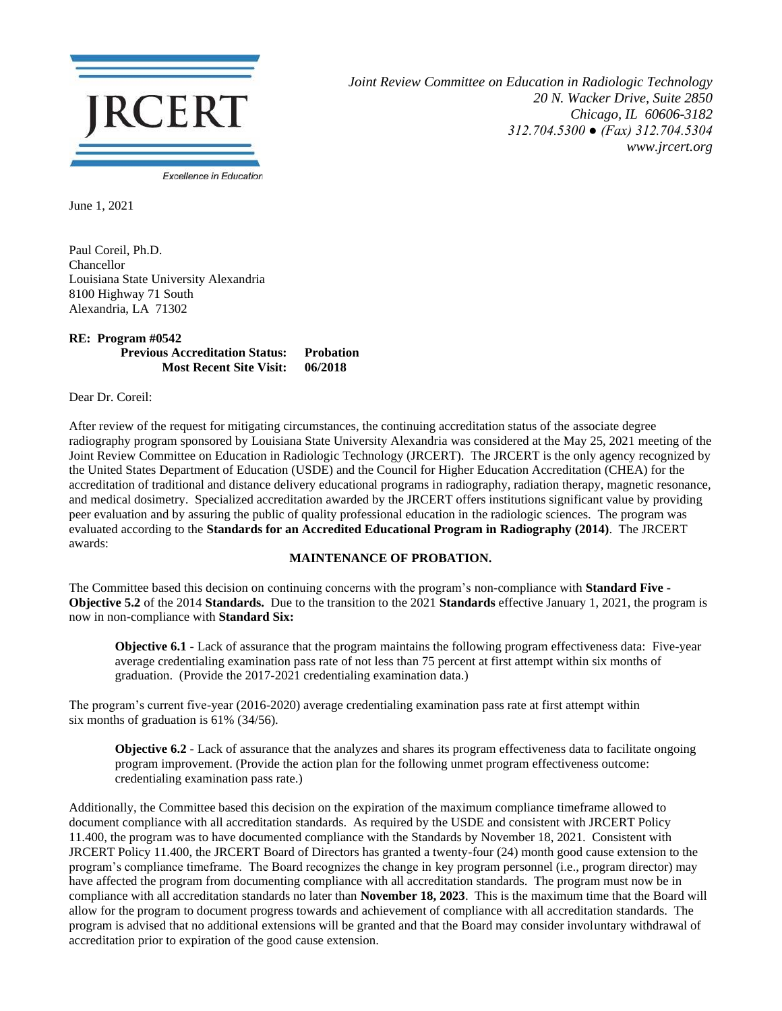

*Joint Review Committee on Education in Radiologic Technology 20 N. Wacker Drive, Suite 2850 Chicago, IL 60606-3182 312.704.5300 ● (Fax) 312.704.5304 www.jrcert.org*

June 1, 2021

Paul Coreil, Ph.D. Chancellor Louisiana State University Alexandria 8100 Highway 71 South Alexandria, LA 71302

## **RE: Program #0542 Previous Accreditation Status: Probation Most Recent Site Visit: 06/2018**

Dear Dr. Coreil:

After review of the request for mitigating circumstances, the continuing accreditation status of the associate degree radiography program sponsored by Louisiana State University Alexandria was considered at the May 25, 2021 meeting of the Joint Review Committee on Education in Radiologic Technology (JRCERT). The JRCERT is the only agency recognized by the United States Department of Education (USDE) and the Council for Higher Education Accreditation (CHEA) for the accreditation of traditional and distance delivery educational programs in radiography, radiation therapy, magnetic resonance, and medical dosimetry. Specialized accreditation awarded by the JRCERT offers institutions significant value by providing peer evaluation and by assuring the public of quality professional education in the radiologic sciences. The program was evaluated according to the **Standards for an Accredited Educational Program in Radiography (2014)**. The JRCERT awards:

## **MAINTENANCE OF PROBATION.**

The Committee based this decision on continuing concerns with the program's non-compliance with **Standard Five - Objective 5.2** of the 2014 **Standards.** Due to the transition to the 2021 **Standards** effective January 1, 2021, the program is now in non-compliance with **Standard Six:**

**Objective 6.1** - Lack of assurance that the program maintains the following program effectiveness data: Five-year average credentialing examination pass rate of not less than 75 percent at first attempt within six months of graduation. (Provide the 2017-2021 credentialing examination data.)

The program's current five-year (2016-2020) average credentialing examination pass rate at first attempt within six months of graduation is 61% (34/56).

**Objective 6.2** - Lack of assurance that the analyzes and shares its program effectiveness data to facilitate ongoing program improvement. (Provide the action plan for the following unmet program effectiveness outcome: credentialing examination pass rate.)

Additionally, the Committee based this decision on the expiration of the maximum compliance timeframe allowed to document compliance with all accreditation standards. As required by the USDE and consistent with JRCERT Policy 11.400, the program was to have documented compliance with the Standards by November 18, 2021. Consistent with JRCERT Policy 11.400, the JRCERT Board of Directors has granted a twenty-four (24) month good cause extension to the program's compliance timeframe. The Board recognizes the change in key program personnel (i.e., program director) may have affected the program from documenting compliance with all accreditation standards. The program must now be in compliance with all accreditation standards no later than **November 18, 2023**. This is the maximum time that the Board will allow for the program to document progress towards and achievement of compliance with all accreditation standards. The program is advised that no additional extensions will be granted and that the Board may consider involuntary withdrawal of accreditation prior to expiration of the good cause extension.